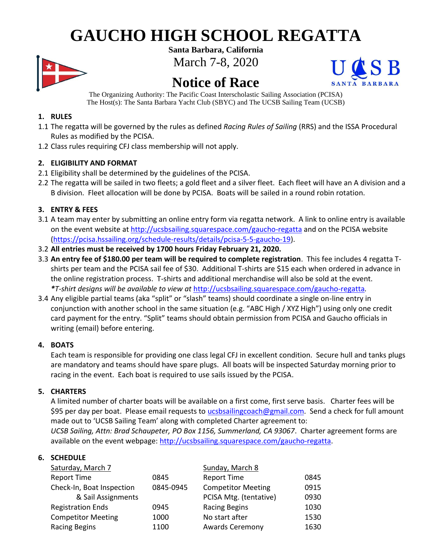# **GAUCHO HIGH SCHOOL REGATTA**



**Santa Barbara, California** March 7-8, 2020

# **Notice of Race**



The Organizing Authority: The Pacific Coast Interscholastic Sailing Association (PCISA) The Host(s): The Santa Barbara Yacht Club (SBYC) and The UCSB Sailing Team (UCSB)

# **1. RULES**

- 1.1 The regatta will be governed by the rules as defined *Racing Rules of Sailing* (RRS) and the ISSA Procedural Rules as modified by the PCISA.
- 1.2 Class rules requiring CFJ class membership will not apply.

# **2. ELIGIBILITY AND FORMAT**

- 2.1 Eligibility shall be determined by the guidelines of the PCISA.
- 2.2 The regatta will be sailed in two fleets; a gold fleet and a silver fleet. Each fleet will have an A division and a B division. Fleet allocation will be done by PCISA. Boats will be sailed in a round robin rotation.

# **3. ENTRY & FEES**

- 3.1 A team may enter by submitting an online entry form via regatta network. A link to online entry is available on the event website at<http://ucsbsailing.squarespace.com/gaucho-regatta> and on the PCISA website [\(https://pcisa.hssailing.org/schedule-results/details/pcisa-5-5-gaucho-19\)](https://pcisa.hssailing.org/schedule-results/details/pcisa-5-5-gaucho-19).
- 3.2 **All entries must be received by 1700 hours Friday February 21, 2020.**
- 3.3 **An entry fee of \$180.00 per team will be required to complete registration**. This fee includes 4 regatta Tshirts per team and the PCISA sail fee of \$30. Additional T-shirts are \$15 each when ordered in advance in the online registration process. T-shirts and additional merchandise will also be sold at the event. *\*T-shirt designs will be available to view at* <http://ucsbsailing.squarespace.com/gaucho-regatta>*.*
- 3.4 Any eligible partial teams (aka "split" or "slash" teams) should coordinate a single on-line entry in conjunction with another school in the same situation (e.g. "ABC High / XYZ High") using only one credit card payment for the entry. "Split" teams should obtain permission from PCISA and Gaucho officials in writing (email) before entering.

# **4. BOATS**

Each team is responsible for providing one class legal CFJ in excellent condition. Secure hull and tanks plugs are mandatory and teams should have spare plugs. All boats will be inspected Saturday morning prior to racing in the event. Each boat is required to use sails issued by the PCISA.

# **5. CHARTERS**

A limited number of charter boats will be available on a first come, first serve basis. Charter fees will be \$95 per day per boat. Please email requests to [ucsbsailingcoach@gmail.com.](mailto:ucsbsailingcoach@gmail.com) Send a check for full amount made out to 'UCSB Sailing Team' along with completed Charter agreement to:

*UCSB Sailing, Attn: Brad Schaupeter, PO Box 1156, Summerland, CA 93067*. Charter agreement forms are available on the event webpage: [http://ucsbsailing.squarespace.com/gaucho-regatta.](http://ucsbsailing.squarespace.com/gaucho-regatta)

# **6. SCHEDULE**

| Saturday, March 7         |           | Sunday, March 8           |      |
|---------------------------|-----------|---------------------------|------|
| <b>Report Time</b>        | 0845      | <b>Report Time</b>        | 0845 |
| Check-In, Boat Inspection | 0845-0945 | <b>Competitor Meeting</b> | 0915 |
| & Sail Assignments        |           | PCISA Mtg. (tentative)    | 0930 |
| <b>Registration Ends</b>  | 0945      | <b>Racing Begins</b>      | 1030 |
| <b>Competitor Meeting</b> | 1000      | No start after            | 1530 |
| <b>Racing Begins</b>      | 1100      | <b>Awards Ceremony</b>    | 1630 |
|                           |           |                           |      |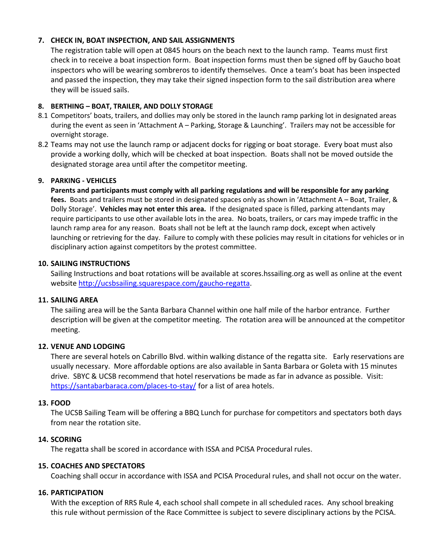#### **7. CHECK IN, BOAT INSPECTION, AND SAIL ASSIGNMENTS**

The registration table will open at 0845 hours on the beach next to the launch ramp. Teams must first check in to receive a boat inspection form. Boat inspection forms must then be signed off by Gaucho boat inspectors who will be wearing sombreros to identify themselves. Once a team's boat has been inspected and passed the inspection, they may take their signed inspection form to the sail distribution area where they will be issued sails.

#### **8. BERTHING – BOAT, TRAILER, AND DOLLY STORAGE**

- 8.1 Competitors' boats, trailers, and dollies may only be stored in the launch ramp parking lot in designated areas during the event as seen in 'Attachment A – Parking, Storage & Launching'. Trailers may not be accessible for overnight storage.
- 8.2 Teams may not use the launch ramp or adjacent docks for rigging or boat storage. Every boat must also provide a working dolly, which will be checked at boat inspection. Boats shall not be moved outside the designated storage area until after the competitor meeting.

#### **9. PARKING - VEHICLES**

**Parents and participants must comply with all parking regulations and will be responsible for any parking fees.** Boats and trailers must be stored in designated spaces only as shown in 'Attachment A – Boat, Trailer, & Dolly Storage'. **Vehicles may not enter this area.** If the designated space is filled, parking attendants may require participants to use other available lots in the area. No boats, trailers, or cars may impede traffic in the launch ramp area for any reason. Boats shall not be left at the launch ramp dock, except when actively launching or retrieving for the day. Failure to comply with these policies may result in citations for vehicles or in disciplinary action against competitors by the protest committee.

#### **10. SAILING INSTRUCTIONS**

Sailing Instructions and boat rotations will be available at scores.hssailing.org as well as online at the event website [http://ucsbsailing.squarespace.com/gaucho-regatta.](http://ucsbsailing.squarespace.com/gaucho-regatta)

#### **11. SAILING AREA**

The sailing area will be the Santa Barbara Channel within one half mile of the harbor entrance. Further description will be given at the competitor meeting. The rotation area will be announced at the competitor meeting.

#### **12. VENUE AND LODGING**

There are several hotels on Cabrillo Blvd. within walking distance of the regatta site. Early reservations are usually necessary. More affordable options are also available in Santa Barbara or Goleta with 15 minutes drive. SBYC & UCSB recommend that hotel reservations be made as far in advance as possible. Visit: <https://santabarbaraca.com/places-to-stay/> for a list of area hotels.

#### **13. FOOD**

The UCSB Sailing Team will be offering a BBQ Lunch for purchase for competitors and spectators both days from near the rotation site.

#### **14. SCORING**

The regatta shall be scored in accordance with ISSA and PCISA Procedural rules.

#### **15. COACHES AND SPECTATORS**

Coaching shall occur in accordance with ISSA and PCISA Procedural rules, and shall not occur on the water.

#### **16. PARTICIPATION**

With the exception of RRS Rule 4, each school shall compete in all scheduled races. Any school breaking this rule without permission of the Race Committee is subject to severe disciplinary actions by the PCISA.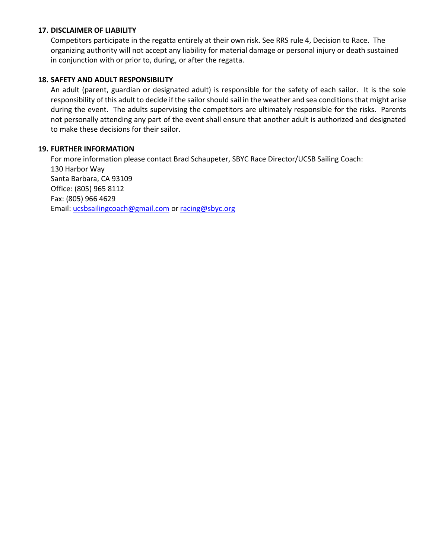### **17. DISCLAIMER OF LIABILITY**

Competitors participate in the regatta entirely at their own risk. See RRS rule 4, Decision to Race. The organizing authority will not accept any liability for material damage or personal injury or death sustained in conjunction with or prior to, during, or after the regatta.

### **18. SAFETY AND ADULT RESPONSIBILITY**

An adult (parent, guardian or designated adult) is responsible for the safety of each sailor. It is the sole responsibility of this adult to decide if the sailor should sail in the weather and sea conditions that might arise during the event. The adults supervising the competitors are ultimately responsible for the risks. Parents not personally attending any part of the event shall ensure that another adult is authorized and designated to make these decisions for their sailor.

### **19. FURTHER INFORMATION**

For more information please contact Brad Schaupeter, SBYC Race Director/UCSB Sailing Coach: 130 Harbor Way Santa Barbara, CA 93109 Office: (805) 965 8112 Fax: (805) 966 4629 Email: [ucsbsailingcoach@gmail.com](mailto:ucsbsailingcoach@gmail.com) or [racing@sbyc.org](mailto:racing@sbyc.org)